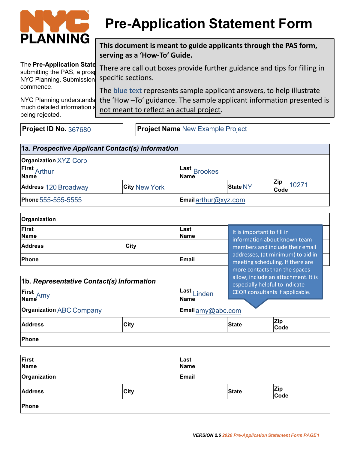

# **Pre-Application Statement Form**

**This document is meant to guide applicants through the PAS form, serving as a 'How-To' Guide.** 

The **Pre-Application State** there are call out beyes provide further guidance and tips for t The Pre-Application state There are call out boxes provide further guidance and tips for filling in submitting the PAS, a prost NYC Planning. Submission commence.

being rejected.

specific sections. The blue text represents sample applicant answers, to help illustrate

NYC Planning understands the 'How –To' guidance. The sample applicant information presented is much detailed information as **post meant to reflect an actual project**.

**Project ID No.** 367680 **Project Name** New Example Project

| 1a. Prospective Applicant Contact(s) Information |                      |                                |                 |                                                                       |  |
|--------------------------------------------------|----------------------|--------------------------------|-----------------|-----------------------------------------------------------------------|--|
| <b>Organization XYZ Corp</b>                     |                      |                                |                 |                                                                       |  |
| <b>First</b> Arthur<br>Name                      |                      | Last<br><b>Brookes</b><br>Name |                 |                                                                       |  |
| <b>Address 120 Broadway</b>                      | <b>City New York</b> |                                | <b>State NY</b> | <b>Zip</b><br>10271<br>Code                                           |  |
| Phone 555-555-5555                               |                      | Email arthur@xyz.com           |                 |                                                                       |  |
| Organization                                     |                      |                                |                 |                                                                       |  |
| <b>First</b><br><b>Name</b>                      |                      | Last<br><b>Name</b>            |                 | It is important to fill in<br>information about known team            |  |
| <b>Address</b>                                   | <b>City</b>          |                                |                 | members and include their email                                       |  |
| <b>Phone</b>                                     |                      | <b>Email</b>                   |                 | addresses, (at minimum) to aid in<br>meeting scheduling. If there are |  |
|                                                  |                      |                                |                 | more contacts than the spaces                                         |  |
| 1b. Representative Contact(s) Information        |                      |                                |                 | allow, include an attachment. It is<br>especially helpful to indicate |  |
| First<br>Name <sup>Amy</sup>                     |                      | Last Linden<br><b>Name</b>     |                 | CEQR consultants if applicable.                                       |  |
| <b>Organization ABC Company</b>                  |                      | Email amy@abc.com              |                 |                                                                       |  |
| <b>Address</b>                                   | <b>City</b>          |                                | State           | Zip<br>Code                                                           |  |
| Phone                                            |                      |                                |                 |                                                                       |  |
| First<br><b>Name</b>                             |                      | Last<br><b>Name</b>            |                 |                                                                       |  |
| Organization                                     |                      | <b>Email</b>                   |                 |                                                                       |  |
| <b>Address</b>                                   | <b>City</b>          |                                | State           | Zip<br>Code                                                           |  |
| Phone                                            |                      |                                |                 |                                                                       |  |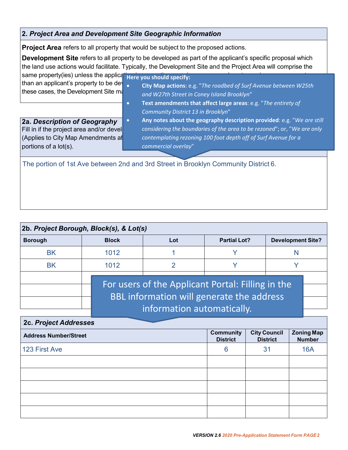## **2.** *Project Area and Development Site Geographic Information*

**Project Area** refers to all property that would be subject to the proposed actions.

**Development Site** refers to all property to be developed as part of the applicant's specific proposal which the land use actions would facilitate. Typically, the Development Site and the Project Area will comprise the same property(ies) unless the applical **Here you should specify:** 

these cases, the Development Site magnetic

- than an applicant's property to be developed and **City Map actions**: e.g. "*The roadbed of Surf Avenue between W25th and W27th Street in Coney Island Brooklyn*"
	- **Text amendments that affect large areas**: e.g. "*The entirety of Community District 13 in Brooklyn*"

**2a.** *Description of Geography* portions of a lot(s).

Fill in if the project area and/or devel**tech and in the soundaries of the area to be rezoned**"; or, "We are only (Applies to City Map Amendments af *contemplating rezoning 100 foot depth off of Surf Avenue for a* • **Any notes about the geography description provided**: e.g. "*We are still commercial overlay*"

The portion of 1st Ave between 2nd and 3rd Street in Brooklyn Community District 6.

| 2b. Project Borough, Block(s), & Lot(s) |                                                                                                                              |     |                     |                          |  |
|-----------------------------------------|------------------------------------------------------------------------------------------------------------------------------|-----|---------------------|--------------------------|--|
| <b>Borough</b>                          | <b>Block</b>                                                                                                                 | Lot | <b>Partial Lot?</b> | <b>Development Site?</b> |  |
| <b>BK</b>                               | 1012                                                                                                                         |     | V                   | N                        |  |
| <b>BK</b>                               | 1012                                                                                                                         | ◠   | V                   |                          |  |
|                                         | For users of the Applicant Portal: Filling in the<br>BBL information will generate the address<br>information automatically. |     |                     |                          |  |

| <b>2c. Project Addresses</b> |                                     |                                        |                                    |  |
|------------------------------|-------------------------------------|----------------------------------------|------------------------------------|--|
| <b>Address Number/Street</b> | <b>Community</b><br><b>District</b> | <b>City Council</b><br><b>District</b> | <b>Zoning Map</b><br><b>Number</b> |  |
| 123 First Ave                | 6                                   | 31                                     | <b>16A</b>                         |  |
|                              |                                     |                                        |                                    |  |
|                              |                                     |                                        |                                    |  |
|                              |                                     |                                        |                                    |  |
|                              |                                     |                                        |                                    |  |
|                              |                                     |                                        |                                    |  |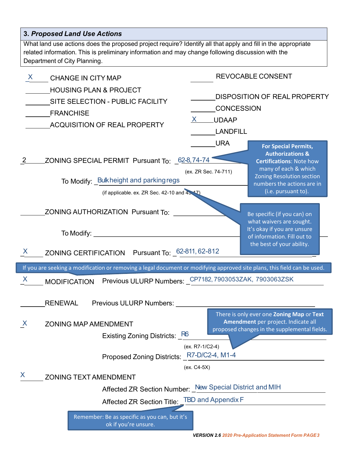| <b>3. Proposed Land Use Actions</b>                                                                                                                                                                                                               |                                                                                                                                                                                                                                                      |
|---------------------------------------------------------------------------------------------------------------------------------------------------------------------------------------------------------------------------------------------------|------------------------------------------------------------------------------------------------------------------------------------------------------------------------------------------------------------------------------------------------------|
| What land use actions does the proposed project require? Identify all that apply and fill in the appropriate<br>related information. This is preliminary information and may change following discussion with the<br>Department of City Planning. |                                                                                                                                                                                                                                                      |
| X<br><b>CHANGE IN CITY MAP</b><br><b>HOUSING PLAN &amp; PROJECT</b><br>SITE SELECTION - PUBLIC FACILITY<br><b>FRANCHISE</b><br>ACQUISITION OF REAL PROPERTY                                                                                       | <b>REVOCABLE CONSENT</b><br><b>DISPOSITION OF REAL PROPERTY</b><br>CONCESSION<br>X UDAAP<br><b>LANDFILL</b>                                                                                                                                          |
| ZONING SPECIAL PERMIT Pursuant To: 62-8,74-74<br>To Modify: Bulkheight and parking regs<br>(if applicable. ex. ZR Sec. 42-10 and $43.47$ )                                                                                                        | <b>URA</b><br><b>For Special Permits,</b><br><b>Authorizations &amp;</b><br><b>Certifications: Note how</b><br>many of each & which<br>(ex. ZR Sec. 74-711)<br><b>Zoning Resolution section</b><br>numbers the actions are in<br>(i.e. pursuant to). |
| ZONING AUTHORIZATION Pursuant To:<br>To Modify: $\_\_$<br>ZONING CERTIFICATION Pursuant To: 62-811, 62-812<br>X                                                                                                                                   | Be specific (if you can) on<br>what waivers are sought.<br>It's okay if you are unsure<br>of information. Fill out to<br>the best of your ability.                                                                                                   |
| If you are seeking a modification or removing a legal document or modifying approved site plans, this field can be used.                                                                                                                          |                                                                                                                                                                                                                                                      |
| __ MODIFICATION  Previous ULURP Numbers: _ <sup>CP7182, 7903053ZAK, 7903063ZSK</sup><br>X.<br><b>RENEWAL</b><br>Previous ULURP Numbers:                                                                                                           |                                                                                                                                                                                                                                                      |
| $\mathsf{X}$<br><b>ZONING MAP AMENDMENT</b><br>Existing Zoning Districts: R6<br>Proposed Zoning Districts: R7-D/C2-4, M1-4                                                                                                                        | There is only ever one Zoning Map or Text<br>Amendment per project. Indicate all<br>proposed changes in the supplemental fields.<br>(ex. R7-1/C2-4)                                                                                                  |
| X<br><b>ZONING TEXT AMENDMENT</b><br>Affected ZR Section Title: _TBD and Appendix F                                                                                                                                                               | (ex. C4-5X)<br>Affected ZR Section Number: New Special District and MIH                                                                                                                                                                              |
| Remember: Be as specific as you can, but it's<br>ok if you're unsure.                                                                                                                                                                             | <b>VERSION 2.6 2020 Pre-Application Statement Form PAGE3</b>                                                                                                                                                                                         |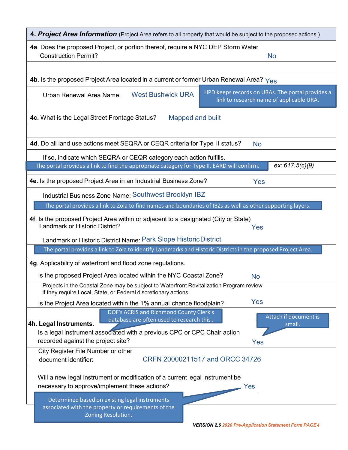| 4. Project Area Information (Project Area refers to all property that would be subject to the proposed actions.)                                            |  |  |  |
|-------------------------------------------------------------------------------------------------------------------------------------------------------------|--|--|--|
| 4a. Does the proposed Project, or portion thereof, require a NYC DEP Storm Water<br><b>Construction Permit?</b><br><b>No</b>                                |  |  |  |
|                                                                                                                                                             |  |  |  |
| <b>4b</b> . Is the proposed Project Area located in a current or former Urban Renewal Area? $Y_{\text{es}}$                                                 |  |  |  |
| HPD keeps records on URAs. The portal provides a<br><b>West Bushwick URA</b><br><b>Urban Renewal Area Name:</b><br>link to research name of applicable URA. |  |  |  |
| 4c. What is the Legal Street Frontage Status?<br><b>Mapped and built</b>                                                                                    |  |  |  |
|                                                                                                                                                             |  |  |  |
| 4d. Do all land use actions meet SEQRA or CEQR criteria for Type II status?<br><b>No</b>                                                                    |  |  |  |
| If so, indicate which SEQRA or CEQR category each action fulfills.                                                                                          |  |  |  |
| The portal provides a link to find the appropriate category for Type II. EARD will confirm.<br>ex: $617.5(c)(9)$                                            |  |  |  |
| 4e. Is the proposed Project Area in an Industrial Business Zone?<br>Yes                                                                                     |  |  |  |
| Industrial Business Zone Name: Southwest Brooklyn IBZ                                                                                                       |  |  |  |
| The portal provides a link to Zola to find names and boundaries of IBZs as well as other supporting layers.                                                 |  |  |  |
| 4f. Is the proposed Project Area within or adjacent to a designated (City or State)<br>Landmark or Historic District?<br>Yes                                |  |  |  |
| Landmark or Historic District Name: Park Slope Historic District                                                                                            |  |  |  |
| The portal provides a link to Zola to identify Landmarks and Historic Districts in the proposed Project Area.                                               |  |  |  |
| 4g. Applicability of waterfront and flood zone regulations.                                                                                                 |  |  |  |
| Is the proposed Project Area located within the NYC Coastal Zone?<br><b>No</b>                                                                              |  |  |  |
| Projects in the Coastal Zone may be subject to Waterfront Revitalization Program review<br>if they require Local, State, or Federal discretionary actions.  |  |  |  |
| Yes<br>Is the Project Area located within the 1% annual chance floodplain?                                                                                  |  |  |  |
| DOF's ACRIS and Richmond County Clerk's<br>Attach if document is<br>database are often used to research this.                                               |  |  |  |
| 4h. Legal Instruments.<br>small.<br>Is a legal instrument associated with a previous CPC or CPC Chair action<br>recorded against the project site?<br>Yes   |  |  |  |
| City Register File Number or other                                                                                                                          |  |  |  |
| CRFN 20000211517 and ORCC 34726<br>document identifier:                                                                                                     |  |  |  |
| Will a new legal instrument or modification of a current legal instrument be<br>necessary to approve/implement these actions?<br>Yes                        |  |  |  |
| Determined based on existing legal instruments                                                                                                              |  |  |  |
| associated with the property or requirements of the<br>Zoning Resolution.                                                                                   |  |  |  |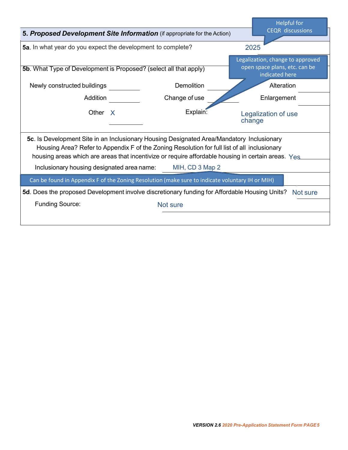|                                                                                                                                                                                                                                                                                                                                                                  |                   |                               | <b>Helpful for</b>                                                                  |
|------------------------------------------------------------------------------------------------------------------------------------------------------------------------------------------------------------------------------------------------------------------------------------------------------------------------------------------------------------------|-------------------|-------------------------------|-------------------------------------------------------------------------------------|
| 5. Proposed Development Site Information (if appropriate for the Action)                                                                                                                                                                                                                                                                                         |                   | <b>CEQR</b> discussions       |                                                                                     |
| 5a. In what year do you expect the development to complete?                                                                                                                                                                                                                                                                                                      | 2025              |                               |                                                                                     |
| 5b. What Type of Development is Proposed? (select all that apply)                                                                                                                                                                                                                                                                                                |                   |                               | Legalization, change to approved<br>open space plans, etc. can be<br>indicated here |
| Newly constructed buildings                                                                                                                                                                                                                                                                                                                                      | <b>Demolition</b> |                               | Alteration                                                                          |
| <b>Addition</b>                                                                                                                                                                                                                                                                                                                                                  | Change of use     |                               | Enlargement                                                                         |
| Other X                                                                                                                                                                                                                                                                                                                                                          | Explain:          | Legalization of use<br>change |                                                                                     |
| 5c. Is Development Site in an Inclusionary Housing Designated Area/Mandatory Inclusionary<br>Housing Area? Refer to Appendix F of the Zoning Resolution for full list of all inclusionary<br>housing areas which are areas that incentivize or require affordable housing in certain areas. Yes<br>Inclusionary housing designated area name:<br>MIH, CD 3 Map 2 |                   |                               |                                                                                     |
| Can be found in Appendix F of the Zoning Resolution (make sure to indicate voluntary IH or MIH)                                                                                                                                                                                                                                                                  |                   |                               |                                                                                     |
| 5d. Does the proposed Development involve discretionary funding for Affordable Housing Units?                                                                                                                                                                                                                                                                    |                   |                               | Not sure                                                                            |
| <b>Funding Source:</b>                                                                                                                                                                                                                                                                                                                                           | Not sure          |                               |                                                                                     |
|                                                                                                                                                                                                                                                                                                                                                                  |                   |                               |                                                                                     |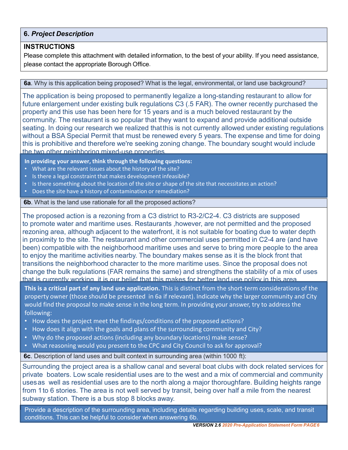### **6.** *Project Description*

#### **INSTRUCTIONS**

Please complete this attachment with detailed information, to the best of your ability. If you need assistance, please contact the appropriate Borough Office.

#### **6a**. Why is this application being proposed? What is the legal, environmental, or land use background?

The application is being proposed to permanently legalize a long-standing restaurant to allow for future enlargement under existing bulk regulations C3 (.5 FAR). The owner recently purchased the property and this use has been here for 15 years and is a much beloved restaurant by the community. The restaurant is so popular that they want to expand and provide additional outside seating. In doing our research we realized thatthis is not currently allowed under existing regulations without a BSA Special Permit that must be renewed every 5 years. The expense and time for doing this is prohibitive and therefore we're seeking zoning change. The boundary sought would include the two other neighboring mixed-use properties.

**In providing your answer, think through the following questions:**

- What are the relevant issues about the history of the site?
- Is there a legal constraint that makes development infeasible?
- Is there something about the location of the site or shape of the site that necessitates an action?
- Does the site have a history of contamination or remediation?

#### **6b**. What is the land use rationale for all the proposed actions?

The proposed action is a rezoning from a C3 district to R3-2/C2-4. C3 districts are supposed to promote water and maritime uses. Restaurants ,however, are not permitted and the proposed rezoning area, although adjacent to the waterfront, it is not suitable for boating due to water depth in proximity to the site. The restaurant and other commercial uses permitted in C2-4 are (and have been) compatible with the neighborhood maritime uses and serve to bring more people to the area to enjoy the maritime activities nearby. The boundary makes sense as it is the block front that transitions the neighborhood character to the more maritime uses. Since the proposal does not change the bulk regulations (FAR remains the same) and strengthens the stability of a mix of uses that is currently working it is our belief that this makes for better land use policy in this area.

**This is a critical part of any land use application.** This is distinct from the short-term considerations of the property owner (those should be presented in 6a if relevant). Indicate why the larger community and City would find the proposal to make sense in the long term. In providing your answer, try to address the following:

- How does the project meet the findings/conditions of the proposed actions?
- How does it align with the goals and plans of the surrounding community and City?
- Why do the proposed actions (including any boundary locations) make sense?
- What reasoning would you present to the CPC and City Council to ask for approval?

**6c**. Description of land uses and built context in surrounding area (within 1000 ft):

Surrounding the project area is a shallow canal and several boat clubs with dock related services for private boaters. Low scale residential uses are to the west and a mix of commercial and community usesas well as residential uses are to the north along a major thoroughfare. Building heights range from 1to 6 stories. The area is not well served by transit, being over half a mile from the nearest subway station. There is a bus stop 8 blocks away.

Provide a description of the surrounding area, including details regarding building uses, scale, and transit conditions. This can be helpful to consider when answering 6b.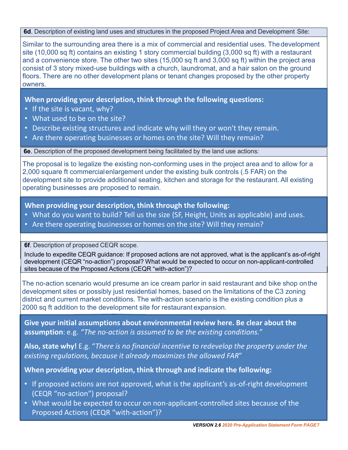**6d**. Description of existing land uses and structures in the proposed Project Area and Development Site:

Similar to the surrounding area there is a mix of commercial and residential uses. Thedevelopment site (10,000 sq ft) contains an existing 1 story commercial building (3,000 sq ft) with a restaurant and a convenience store. The other two sites (15,000 sq ft and 3,000 sq ft) within the project area consist of 3 story mixed-use buildings with a church, laundromat, and a hair salon on the ground floors. There are no other development plans or tenant changes proposed by the other property owners.

**When providing your description, think through the following questions:**

- If the site is vacant, why?
- What used to be on the site?
- Describe existing structures and indicate why will they or won't they remain.
- Are there operating businesses or homes on the site? Will they remain?

**6e**. Description of the proposed development being facilitated by the land use actions:

The proposal is to legalize the existing non-conforming uses in the project area and to allow for a 2,000 square ft commercialenlargement under the existing bulk controls (.5 FAR) on the development site to provide additional seating, kitchen and storage for the restaurant. All existing operating businesses are proposed to remain.

**When providing your description, think through the following:**

- What do you want to build? Tell us the size (SF, Height, Units as applicable) and uses.
- Are there operating businesses or homes on the site? Will they remain?

**6f**. Description of proposed CEQR scope.

Include to expedite CEQR guidance: If proposed actions are not approved, what is the applicant's as-of-right development (CEQR "no-action") proposal? What would be expected to occur on non-applicant-controlled sites because of the Proposed Actions (CEQR "with-action")?

The no-action scenario would presume an ice cream parlor in said restaurant and bike shop onthe development sites or possibly just residential homes, based on the limitations of the C3 zoning district and current market conditions. The with-action scenario is the existing condition plus a 2000 sq ft addition to the development site for restaurant expansion.

**Give your initial assumptions about environmental review here. Be clear about the assumption**: e.g. *"The no-action is assumed to be the existing conditions."*

**Also, state why!** E.g. "*There is no financial incentive to redevelop the property under the existing regulations, because it already maximizes the allowed FAR*"

**When providing your description, think through and indicate the following:**

- If proposed actions are not approved, what is the applicant's as-of-right development (CEQR "no-action") proposal?
- What would be expected to occur on non-applicant-controlled sites because of the Proposed Actions (CEQR "with-action")?